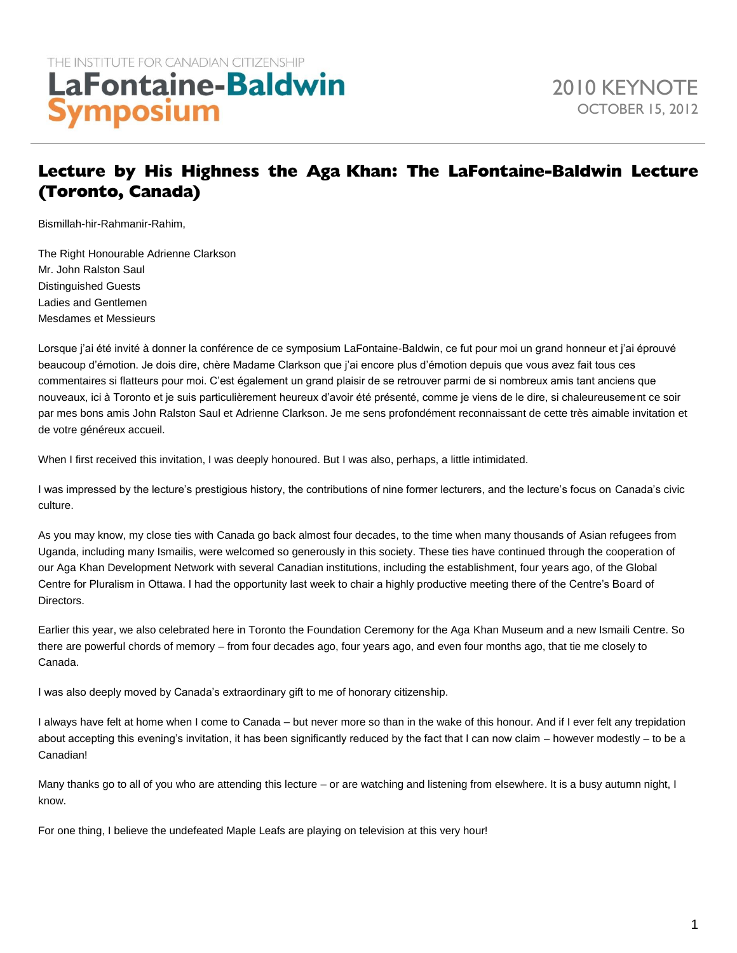# Lecture by His Highness the Aga Khan: The LaFontaine-Baldwin Lecture (Toronto, Canada)

Bismillah-hir-Rahmanir-Rahim,

The Right Honourable Adrienne Clarkson Mr. John Ralston Saul Distinguished Guests Ladies and Gentlemen Mesdames et Messieurs

Lorsque j'ai été invité à donner la conférence de ce symposium LaFontaine-Baldwin, ce fut pour moi un grand honneur et j'ai éprouvé beaucoup d'émotion. Je dois dire, chère Madame Clarkson que j'ai encore plus d'émotion depuis que vous avez fait tous ces commentaires si flatteurs pour moi. C'est également un grand plaisir de se retrouver parmi de si nombreux amis tant anciens que nouveaux, ici à Toronto et je suis particulièrement heureux d'avoir été présenté, comme je viens de le dire, si chaleureusement ce soir par mes bons amis John Ralston Saul et Adrienne Clarkson. Je me sens profondément reconnaissant de cette très aimable invitation et de votre généreux accueil.

When I first received this invitation, I was deeply honoured. But I was also, perhaps, a little intimidated.

I was impressed by the lecture's prestigious history, the contributions of nine former lecturers, and the lecture's focus on Canada's civic culture.

As you may know, my close ties with Canada go back almost four decades, to the time when many thousands of Asian refugees from Uganda, including many Ismailis, were welcomed so generously in this society. These ties have continued through the cooperation of our Aga Khan Development Network with several Canadian institutions, including the establishment, four years ago, of the Global Centre for Pluralism in Ottawa. I had the opportunity last week to chair a highly productive meeting there of the Centre's Board of Directors.

Earlier this year, we also celebrated here in Toronto the Foundation Ceremony for the Aga Khan Museum and a new Ismaili Centre. So there are powerful chords of memory – from four decades ago, four years ago, and even four months ago, that tie me closely to Canada.

I was also deeply moved by Canada's extraordinary gift to me of honorary citizenship.

I always have felt at home when I come to Canada – but never more so than in the wake of this honour. And if I ever felt any trepidation about accepting this evening's invitation, it has been significantly reduced by the fact that I can now claim – however modestly – to be a Canadian!

Many thanks go to all of you who are attending this lecture – or are watching and listening from elsewhere. It is a busy autumn night, I know.

For one thing, I believe the undefeated Maple Leafs are playing on television at this very hour!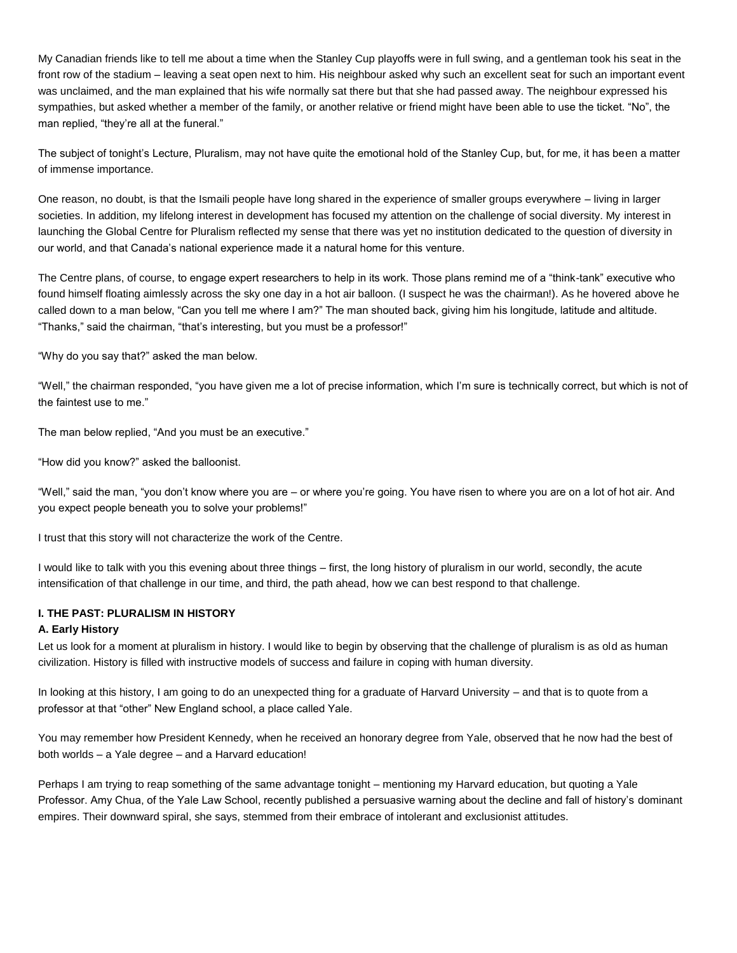My Canadian friends like to tell me about a time when the Stanley Cup playoffs were in full swing, and a gentleman took his seat in the front row of the stadium – leaving a seat open next to him. His neighbour asked why such an excellent seat for such an important event was unclaimed, and the man explained that his wife normally sat there but that she had passed away. The neighbour expressed his sympathies, but asked whether a member of the family, or another relative or friend might have been able to use the ticket. "No", the man replied, "they're all at the funeral."

The subject of tonight's Lecture, Pluralism, may not have quite the emotional hold of the Stanley Cup, but, for me, it has been a matter of immense importance.

One reason, no doubt, is that the Ismaili people have long shared in the experience of smaller groups everywhere – living in larger societies. In addition, my lifelong interest in development has focused my attention on the challenge of social diversity. My interest in launching the Global Centre for Pluralism reflected my sense that there was yet no institution dedicated to the question of diversity in our world, and that Canada's national experience made it a natural home for this venture.

The Centre plans, of course, to engage expert researchers to help in its work. Those plans remind me of a "think-tank" executive who found himself floating aimlessly across the sky one day in a hot air balloon. (I suspect he was the chairman!). As he hovered above he called down to a man below, "Can you tell me where I am?" The man shouted back, giving him his longitude, latitude and altitude. "Thanks," said the chairman, "that's interesting, but you must be a professor!"

"Why do you say that?" asked the man below.

"Well," the chairman responded, "you have given me a lot of precise information, which I'm sure is technically correct, but which is not of the faintest use to me."

The man below replied, "And you must be an executive."

"How did you know?" asked the balloonist.

"Well," said the man, "you don't know where you are – or where you're going. You have risen to where you are on a lot of hot air. And you expect people beneath you to solve your problems!"

I trust that this story will not characterize the work of the Centre.

I would like to talk with you this evening about three things – first, the long history of pluralism in our world, secondly, the acute intensification of that challenge in our time, and third, the path ahead, how we can best respond to that challenge.

# **I. THE PAST: PLURALISM IN HISTORY**

## **A. Early History**

Let us look for a moment at pluralism in history. I would like to begin by observing that the challenge of pluralism is as old as human civilization. History is filled with instructive models of success and failure in coping with human diversity.

In looking at this history, I am going to do an unexpected thing for a graduate of Harvard University – and that is to quote from a professor at that "other" New England school, a place called Yale.

You may remember how President Kennedy, when he received an honorary degree from Yale, observed that he now had the best of both worlds – a Yale degree – and a Harvard education!

Perhaps I am trying to reap something of the same advantage tonight – mentioning my Harvard education, but quoting a Yale Professor. Amy Chua, of the Yale Law School, recently published a persuasive warning about the decline and fall of history's dominant empires. Their downward spiral, she says, stemmed from their embrace of intolerant and exclusionist attitudes.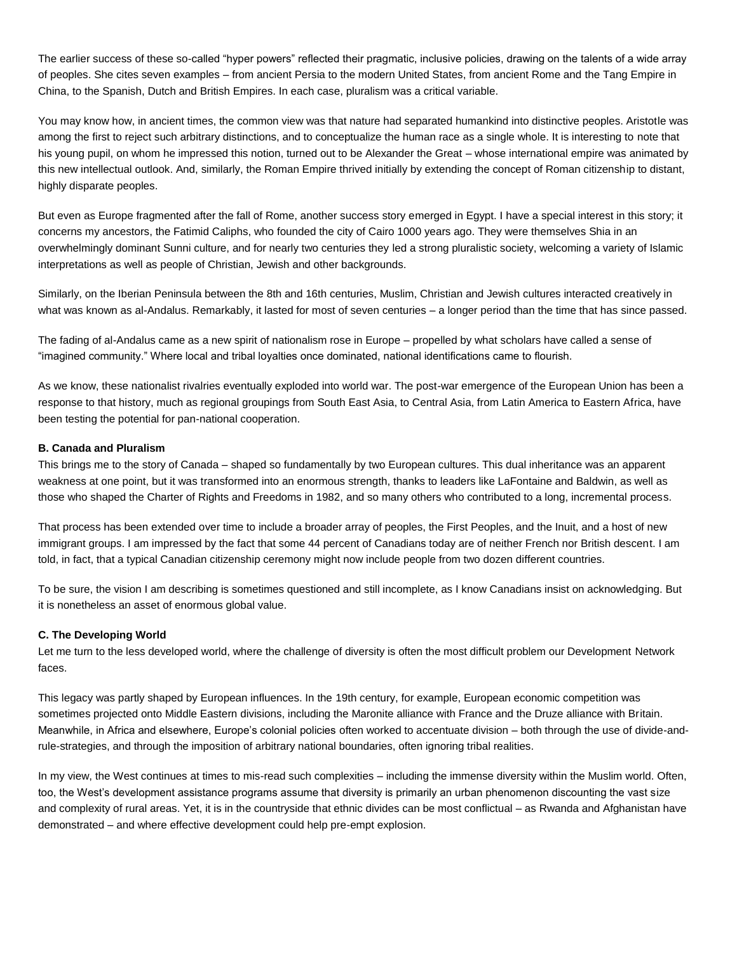The earlier success of these so-called "hyper powers" reflected their pragmatic, inclusive policies, drawing on the talents of a wide array of peoples. She cites seven examples – from ancient Persia to the modern United States, from ancient Rome and the Tang Empire in China, to the Spanish, Dutch and British Empires. In each case, pluralism was a critical variable.

You may know how, in ancient times, the common view was that nature had separated humankind into distinctive peoples. Aristotle was among the first to reject such arbitrary distinctions, and to conceptualize the human race as a single whole. It is interesting to note that his young pupil, on whom he impressed this notion, turned out to be Alexander the Great – whose international empire was animated by this new intellectual outlook. And, similarly, the Roman Empire thrived initially by extending the concept of Roman citizenship to distant, highly disparate peoples.

But even as Europe fragmented after the fall of Rome, another success story emerged in Egypt. I have a special interest in this story; it concerns my ancestors, the Fatimid Caliphs, who founded the city of Cairo 1000 years ago. They were themselves Shia in an overwhelmingly dominant Sunni culture, and for nearly two centuries they led a strong pluralistic society, welcoming a variety of Islamic interpretations as well as people of Christian, Jewish and other backgrounds.

Similarly, on the Iberian Peninsula between the 8th and 16th centuries, Muslim, Christian and Jewish cultures interacted creatively in what was known as al-Andalus. Remarkably, it lasted for most of seven centuries – a longer period than the time that has since passed.

The fading of al-Andalus came as a new spirit of nationalism rose in Europe – propelled by what scholars have called a sense of "imagined community." Where local and tribal loyalties once dominated, national identifications came to flourish.

As we know, these nationalist rivalries eventually exploded into world war. The post-war emergence of the European Union has been a response to that history, much as regional groupings from South East Asia, to Central Asia, from Latin America to Eastern Africa, have been testing the potential for pan-national cooperation.

## **B. Canada and Pluralism**

This brings me to the story of Canada – shaped so fundamentally by two European cultures. This dual inheritance was an apparent weakness at one point, but it was transformed into an enormous strength, thanks to leaders like LaFontaine and Baldwin, as well as those who shaped the Charter of Rights and Freedoms in 1982, and so many others who contributed to a long, incremental process.

That process has been extended over time to include a broader array of peoples, the First Peoples, and the Inuit, and a host of new immigrant groups. I am impressed by the fact that some 44 percent of Canadians today are of neither French nor British descent. I am told, in fact, that a typical Canadian citizenship ceremony might now include people from two dozen different countries.

To be sure, the vision I am describing is sometimes questioned and still incomplete, as I know Canadians insist on acknowledging. But it is nonetheless an asset of enormous global value.

## **C. The Developing World**

Let me turn to the less developed world, where the challenge of diversity is often the most difficult problem our Development Network faces.

This legacy was partly shaped by European influences. In the 19th century, for example, European economic competition was sometimes projected onto Middle Eastern divisions, including the Maronite alliance with France and the Druze alliance with Britain. Meanwhile, in Africa and elsewhere, Europe's colonial policies often worked to accentuate division – both through the use of divide-andrule-strategies, and through the imposition of arbitrary national boundaries, often ignoring tribal realities.

In my view, the West continues at times to mis-read such complexities – including the immense diversity within the Muslim world. Often, too, the West's development assistance programs assume that diversity is primarily an urban phenomenon discounting the vast size and complexity of rural areas. Yet, it is in the countryside that ethnic divides can be most conflictual – as Rwanda and Afghanistan have demonstrated – and where effective development could help pre-empt explosion.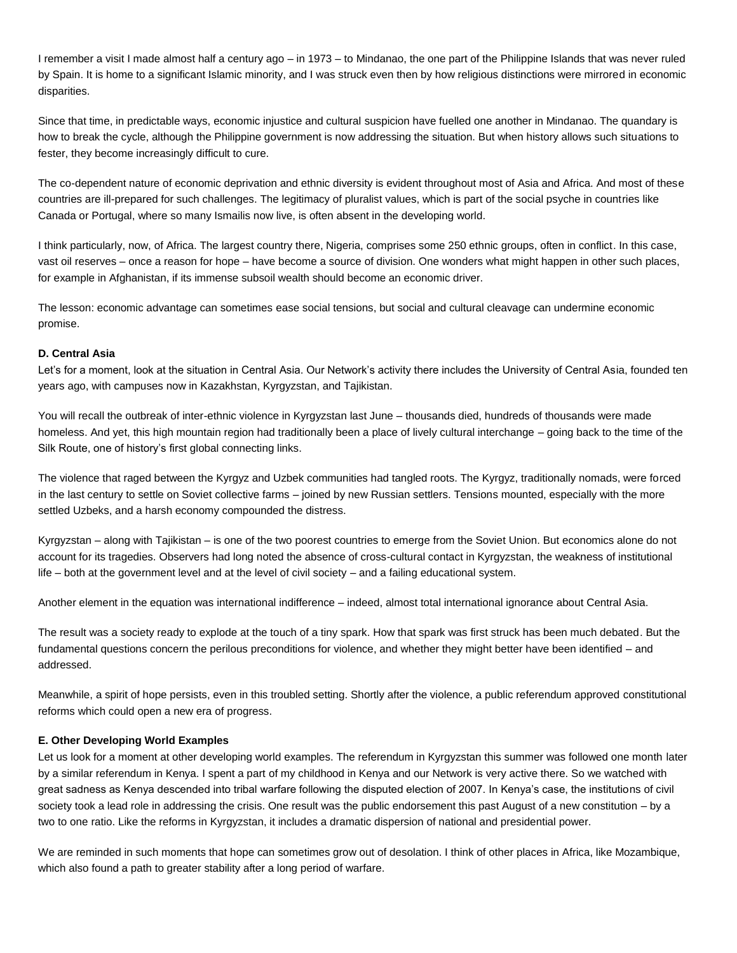I remember a visit I made almost half a century ago – in 1973 – to Mindanao, the one part of the Philippine Islands that was never ruled by Spain. It is home to a significant Islamic minority, and I was struck even then by how religious distinctions were mirrored in economic disparities.

Since that time, in predictable ways, economic injustice and cultural suspicion have fuelled one another in Mindanao. The quandary is how to break the cycle, although the Philippine government is now addressing the situation. But when history allows such situations to fester, they become increasingly difficult to cure.

The co-dependent nature of economic deprivation and ethnic diversity is evident throughout most of Asia and Africa. And most of these countries are ill-prepared for such challenges. The legitimacy of pluralist values, which is part of the social psyche in countries like Canada or Portugal, where so many Ismailis now live, is often absent in the developing world.

I think particularly, now, of Africa. The largest country there, Nigeria, comprises some 250 ethnic groups, often in conflict. In this case, vast oil reserves – once a reason for hope – have become a source of division. One wonders what might happen in other such places, for example in Afghanistan, if its immense subsoil wealth should become an economic driver.

The lesson: economic advantage can sometimes ease social tensions, but social and cultural cleavage can undermine economic promise.

## **D. Central Asia**

Let's for a moment, look at the situation in Central Asia. Our Network's activity there includes the University of Central Asia, founded ten years ago, with campuses now in Kazakhstan, Kyrgyzstan, and Tajikistan.

You will recall the outbreak of inter-ethnic violence in Kyrgyzstan last June – thousands died, hundreds of thousands were made homeless. And yet, this high mountain region had traditionally been a place of lively cultural interchange – going back to the time of the Silk Route, one of history's first global connecting links.

The violence that raged between the Kyrgyz and Uzbek communities had tangled roots. The Kyrgyz, traditionally nomads, were forced in the last century to settle on Soviet collective farms – joined by new Russian settlers. Tensions mounted, especially with the more settled Uzbeks, and a harsh economy compounded the distress.

Kyrgyzstan – along with Tajikistan – is one of the two poorest countries to emerge from the Soviet Union. But economics alone do not account for its tragedies. Observers had long noted the absence of cross-cultural contact in Kyrgyzstan, the weakness of institutional life – both at the government level and at the level of civil society – and a failing educational system.

Another element in the equation was international indifference – indeed, almost total international ignorance about Central Asia.

The result was a society ready to explode at the touch of a tiny spark. How that spark was first struck has been much debated. But the fundamental questions concern the perilous preconditions for violence, and whether they might better have been identified – and addressed.

Meanwhile, a spirit of hope persists, even in this troubled setting. Shortly after the violence, a public referendum approved constitutional reforms which could open a new era of progress.

#### **E. Other Developing World Examples**

Let us look for a moment at other developing world examples. The referendum in Kyrgyzstan this summer was followed one month later by a similar referendum in Kenya. I spent a part of my childhood in Kenya and our Network is very active there. So we watched with great sadness as Kenya descended into tribal warfare following the disputed election of 2007. In Kenya's case, the institutions of civil society took a lead role in addressing the crisis. One result was the public endorsement this past August of a new constitution – by a two to one ratio. Like the reforms in Kyrgyzstan, it includes a dramatic dispersion of national and presidential power.

We are reminded in such moments that hope can sometimes grow out of desolation. I think of other places in Africa, like Mozambique, which also found a path to greater stability after a long period of warfare.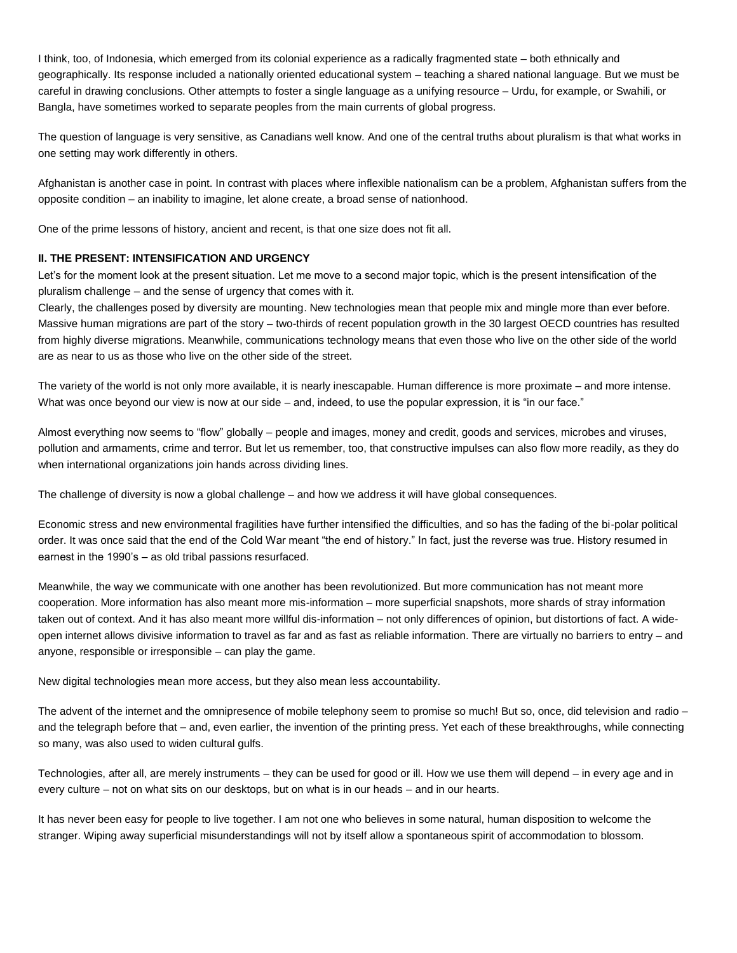I think, too, of Indonesia, which emerged from its colonial experience as a radically fragmented state – both ethnically and geographically. Its response included a nationally oriented educational system – teaching a shared national language. But we must be careful in drawing conclusions. Other attempts to foster a single language as a unifying resource – Urdu, for example, or Swahili, or Bangla, have sometimes worked to separate peoples from the main currents of global progress.

The question of language is very sensitive, as Canadians well know. And one of the central truths about pluralism is that what works in one setting may work differently in others.

Afghanistan is another case in point. In contrast with places where inflexible nationalism can be a problem, Afghanistan suffers from the opposite condition – an inability to imagine, let alone create, a broad sense of nationhood.

One of the prime lessons of history, ancient and recent, is that one size does not fit all.

# **II. THE PRESENT: INTENSIFICATION AND URGENCY**

Let's for the moment look at the present situation. Let me move to a second major topic, which is the present intensification of the pluralism challenge – and the sense of urgency that comes with it.

Clearly, the challenges posed by diversity are mounting. New technologies mean that people mix and mingle more than ever before. Massive human migrations are part of the story – two-thirds of recent population growth in the 30 largest OECD countries has resulted from highly diverse migrations. Meanwhile, communications technology means that even those who live on the other side of the world are as near to us as those who live on the other side of the street.

The variety of the world is not only more available, it is nearly inescapable. Human difference is more proximate – and more intense. What was once beyond our view is now at our side – and, indeed, to use the popular expression, it is "in our face."

Almost everything now seems to "flow" globally – people and images, money and credit, goods and services, microbes and viruses, pollution and armaments, crime and terror. But let us remember, too, that constructive impulses can also flow more readily, as they do when international organizations join hands across dividing lines.

The challenge of diversity is now a global challenge – and how we address it will have global consequences.

Economic stress and new environmental fragilities have further intensified the difficulties, and so has the fading of the bi-polar political order. It was once said that the end of the Cold War meant "the end of history." In fact, just the reverse was true. History resumed in earnest in the 1990's – as old tribal passions resurfaced.

Meanwhile, the way we communicate with one another has been revolutionized. But more communication has not meant more cooperation. More information has also meant more mis-information – more superficial snapshots, more shards of stray information taken out of context. And it has also meant more willful dis-information – not only differences of opinion, but distortions of fact. A wideopen internet allows divisive information to travel as far and as fast as reliable information. There are virtually no barriers to entry – and anyone, responsible or irresponsible – can play the game.

New digital technologies mean more access, but they also mean less accountability.

The advent of the internet and the omnipresence of mobile telephony seem to promise so much! But so, once, did television and radio – and the telegraph before that – and, even earlier, the invention of the printing press. Yet each of these breakthroughs, while connecting so many, was also used to widen cultural gulfs.

Technologies, after all, are merely instruments – they can be used for good or ill. How we use them will depend – in every age and in every culture – not on what sits on our desktops, but on what is in our heads – and in our hearts.

It has never been easy for people to live together. I am not one who believes in some natural, human disposition to welcome the stranger. Wiping away superficial misunderstandings will not by itself allow a spontaneous spirit of accommodation to blossom.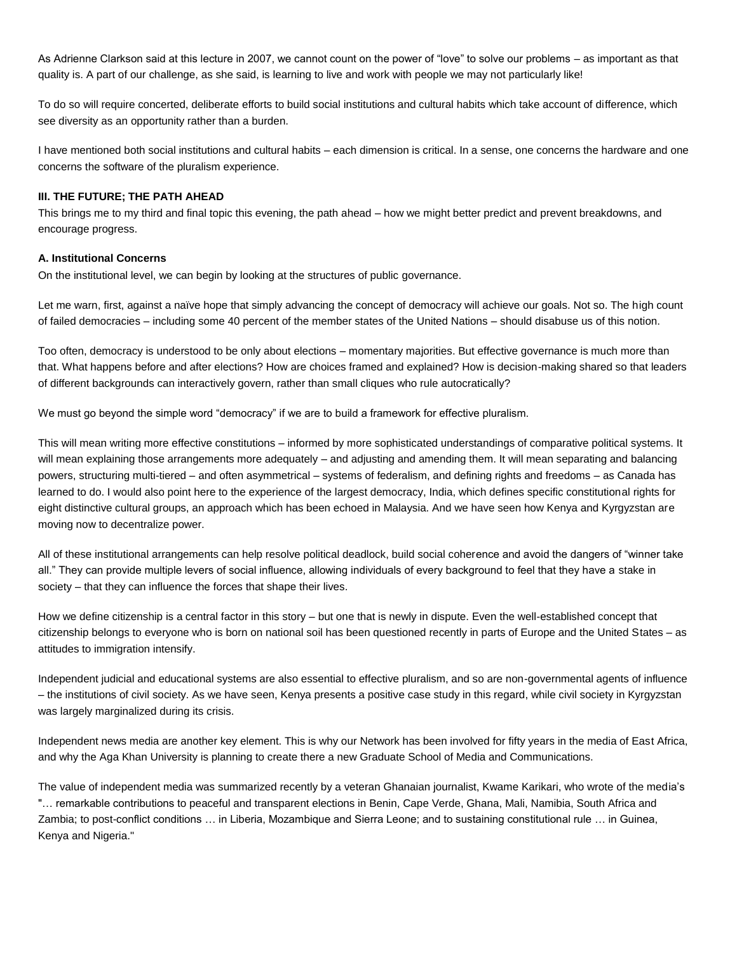As Adrienne Clarkson said at this lecture in 2007, we cannot count on the power of "love" to solve our problems – as important as that quality is. A part of our challenge, as she said, is learning to live and work with people we may not particularly like!

To do so will require concerted, deliberate efforts to build social institutions and cultural habits which take account of difference, which see diversity as an opportunity rather than a burden.

I have mentioned both social institutions and cultural habits – each dimension is critical. In a sense, one concerns the hardware and one concerns the software of the pluralism experience.

### **III. THE FUTURE; THE PATH AHEAD**

This brings me to my third and final topic this evening, the path ahead – how we might better predict and prevent breakdowns, and encourage progress.

## **A. Institutional Concerns**

On the institutional level, we can begin by looking at the structures of public governance.

Let me warn, first, against a naïve hope that simply advancing the concept of democracy will achieve our goals. Not so. The high count of failed democracies – including some 40 percent of the member states of the United Nations – should disabuse us of this notion.

Too often, democracy is understood to be only about elections – momentary majorities. But effective governance is much more than that. What happens before and after elections? How are choices framed and explained? How is decision-making shared so that leaders of different backgrounds can interactively govern, rather than small cliques who rule autocratically?

We must go beyond the simple word "democracy" if we are to build a framework for effective pluralism.

This will mean writing more effective constitutions – informed by more sophisticated understandings of comparative political systems. It will mean explaining those arrangements more adequately – and adjusting and amending them. It will mean separating and balancing powers, structuring multi-tiered – and often asymmetrical – systems of federalism, and defining rights and freedoms – as Canada has learned to do. I would also point here to the experience of the largest democracy, India, which defines specific constitutional rights for eight distinctive cultural groups, an approach which has been echoed in Malaysia. And we have seen how Kenya and Kyrgyzstan are moving now to decentralize power.

All of these institutional arrangements can help resolve political deadlock, build social coherence and avoid the dangers of "winner take all." They can provide multiple levers of social influence, allowing individuals of every background to feel that they have a stake in society – that they can influence the forces that shape their lives.

How we define citizenship is a central factor in this story – but one that is newly in dispute. Even the well-established concept that citizenship belongs to everyone who is born on national soil has been questioned recently in parts of Europe and the United States – as attitudes to immigration intensify.

Independent judicial and educational systems are also essential to effective pluralism, and so are non-governmental agents of influence – the institutions of civil society. As we have seen, Kenya presents a positive case study in this regard, while civil society in Kyrgyzstan was largely marginalized during its crisis.

Independent news media are another key element. This is why our Network has been involved for fifty years in the media of East Africa, and why the Aga Khan University is planning to create there a new Graduate School of Media and Communications.

The value of independent media was summarized recently by a veteran Ghanaian journalist, Kwame Karikari, who wrote of the media's "… remarkable contributions to peaceful and transparent elections in Benin, Cape Verde, Ghana, Mali, Namibia, South Africa and Zambia; to post-conflict conditions … in Liberia, Mozambique and Sierra Leone; and to sustaining constitutional rule … in Guinea, Kenya and Nigeria."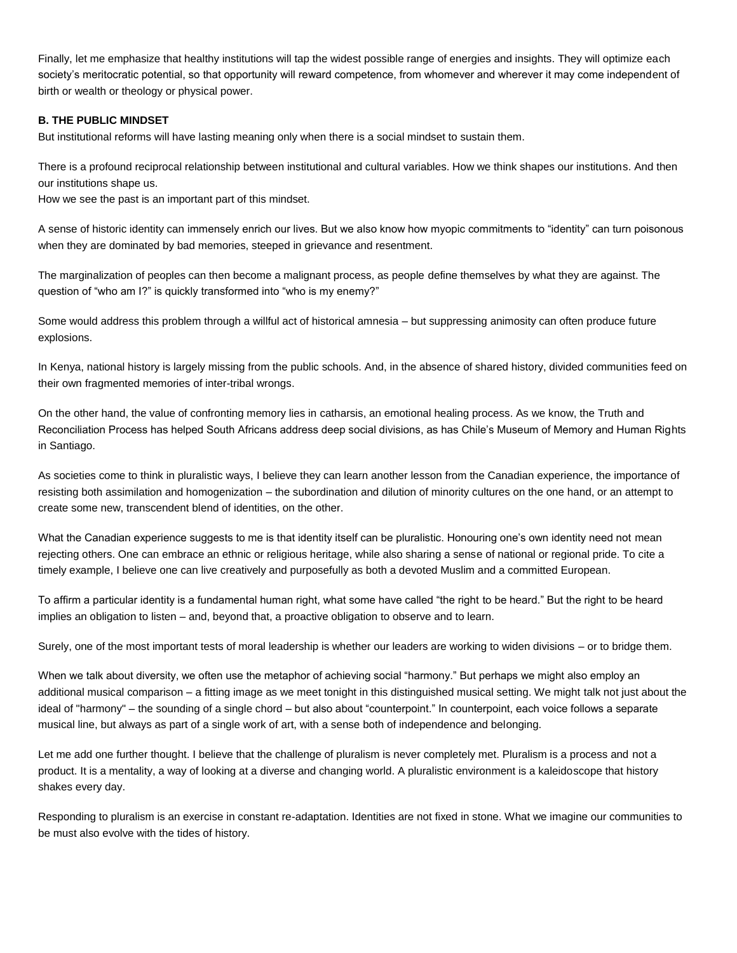Finally, let me emphasize that healthy institutions will tap the widest possible range of energies and insights. They will optimize each society's meritocratic potential, so that opportunity will reward competence, from whomever and wherever it may come independent of birth or wealth or theology or physical power.

## **B. THE PUBLIC MINDSET**

But institutional reforms will have lasting meaning only when there is a social mindset to sustain them.

There is a profound reciprocal relationship between institutional and cultural variables. How we think shapes our institutions. And then our institutions shape us.

How we see the past is an important part of this mindset.

A sense of historic identity can immensely enrich our lives. But we also know how myopic commitments to "identity" can turn poisonous when they are dominated by bad memories, steeped in grievance and resentment.

The marginalization of peoples can then become a malignant process, as people define themselves by what they are against. The question of "who am I?" is quickly transformed into "who is my enemy?"

Some would address this problem through a willful act of historical amnesia – but suppressing animosity can often produce future explosions.

In Kenya, national history is largely missing from the public schools. And, in the absence of shared history, divided communities feed on their own fragmented memories of inter-tribal wrongs.

On the other hand, the value of confronting memory lies in catharsis, an emotional healing process. As we know, the Truth and Reconciliation Process has helped South Africans address deep social divisions, as has Chile's Museum of Memory and Human Rights in Santiago.

As societies come to think in pluralistic ways, I believe they can learn another lesson from the Canadian experience, the importance of resisting both assimilation and homogenization – the subordination and dilution of minority cultures on the one hand, or an attempt to create some new, transcendent blend of identities, on the other.

What the Canadian experience suggests to me is that identity itself can be pluralistic. Honouring one's own identity need not mean rejecting others. One can embrace an ethnic or religious heritage, while also sharing a sense of national or regional pride. To cite a timely example, I believe one can live creatively and purposefully as both a devoted Muslim and a committed European.

To affirm a particular identity is a fundamental human right, what some have called "the right to be heard." But the right to be heard implies an obligation to listen – and, beyond that, a proactive obligation to observe and to learn.

Surely, one of the most important tests of moral leadership is whether our leaders are working to widen divisions – or to bridge them.

When we talk about diversity, we often use the metaphor of achieving social "harmony." But perhaps we might also employ an additional musical comparison – a fitting image as we meet tonight in this distinguished musical setting. We might talk not just about the ideal of "harmony" – the sounding of a single chord – but also about "counterpoint." In counterpoint, each voice follows a separate musical line, but always as part of a single work of art, with a sense both of independence and belonging.

Let me add one further thought. I believe that the challenge of pluralism is never completely met. Pluralism is a process and not a product. It is a mentality, a way of looking at a diverse and changing world. A pluralistic environment is a kaleidoscope that history shakes every day.

Responding to pluralism is an exercise in constant re-adaptation. Identities are not fixed in stone. What we imagine our communities to be must also evolve with the tides of history.